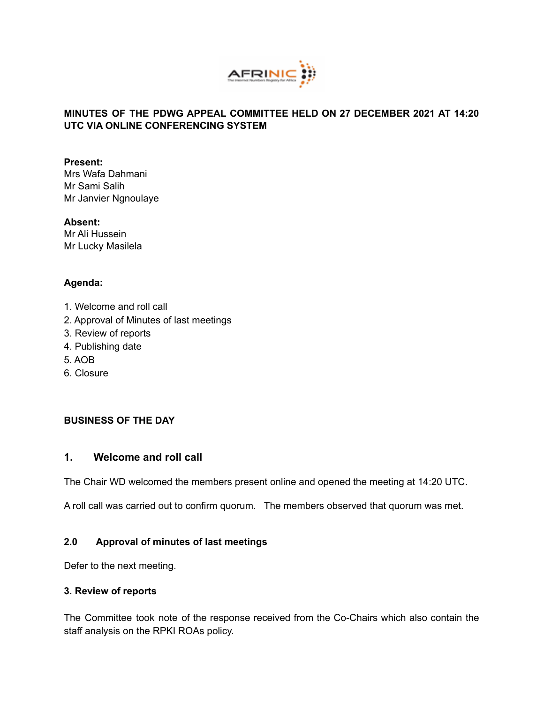

### **MINUTES OF THE PDWG APPEAL COMMITTEE HELD ON 27 DECEMBER 2021 AT 14:20 UTC VIA ONLINE CONFERENCING SYSTEM**

#### **Present:**

Mrs Wafa Dahmani Mr Sami Salih Mr Janvier Ngnoulaye

#### **Absent:**

Mr Ali Hussein Mr Lucky Masilela

## **Agenda:**

- 1. Welcome and roll call
- 2. Approval of Minutes of last meetings
- 3. Review of reports
- 4. Publishing date
- 5. AOB
- 6. Closure

# **BUSINESS OF THE DAY**

## **1. Welcome and roll call**

The Chair WD welcomed the members present online and opened the meeting at 14:20 UTC.

A roll call was carried out to confirm quorum. The members observed that quorum was met.

### **2.0 Approval of minutes of last meetings**

Defer to the next meeting.

### **3. Review of reports**

The Committee took note of the response received from the Co-Chairs which also contain the staff analysis on the RPKI ROAs policy.